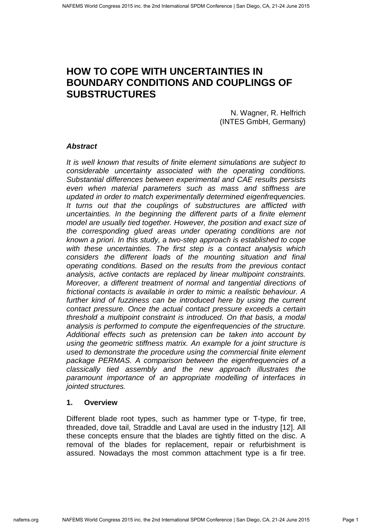# **HOW TO COPE WITH UNCERTAINTIES IN BOUNDARY CONDITIONS AND COUPLINGS OF SUBSTRUCTURES**

N. Wagner, R. Helfrich (INTES GmbH, Germany)

# **Abstract**

It is well known that results of finite element simulations are subject to considerable uncertainty associated with the operating conditions. Substantial differences between experimental and CAE results persists even when material parameters such as mass and stiffness are updated in order to match experimentally determined eigenfrequencies. It turns out that the couplings of substructures are afflicted with uncertainties. In the beginning the different parts of a finite element model are usually tied together. However, the position and exact size of the corresponding glued areas under operating conditions are not known a priori. In this study, a two-step approach is established to cope with these uncertainties. The first step is a contact analysis which considers the different loads of the mounting situation and final operating conditions. Based on the results from the previous contact analysis, active contacts are replaced by linear multipoint constraints. Moreover, a different treatment of normal and tangential directions of frictional contacts is available in order to mimic a realistic behaviour. A further kind of fuzziness can be introduced here by using the current contact pressure. Once the actual contact pressure exceeds a certain threshold a multipoint constraint is introduced. On that basis, a modal analysis is performed to compute the eigenfrequencies of the structure. Additional effects such as pretension can be taken into account by using the geometric stiffness matrix. An example for a joint structure is used to demonstrate the procedure using the commercial finite element package PERMAS. A comparison between the eigenfrequencies of a classically tied assembly and the new approach illustrates the paramount importance of an appropriate modelling of interfaces in jointed structures.

### **1. Overview**

Different blade root types, such as hammer type or T-type, fir tree, threaded, dove tail, Straddle and Laval are used in the industry [12]. All these concepts ensure that the blades are tightly fitted on the disc. A removal of the blades for replacement, repair or refurbishment is assured. Nowadays the most common attachment type is a fir tree.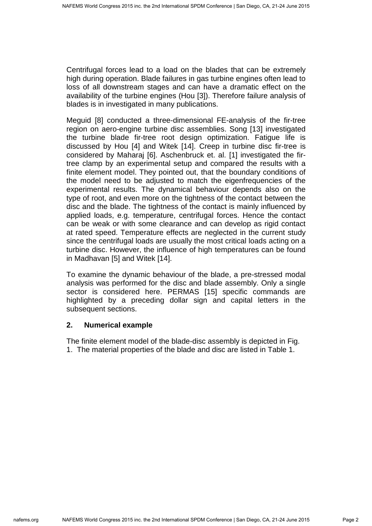Centrifugal forces lead to a load on the blades that can be extremely high during operation. Blade failures in gas turbine engines often lead to loss of all downstream stages and can have a dramatic effect on the availability of the turbine engines (Hou [3]). Therefore failure analysis of blades is in investigated in many publications.

Meguid [8] conducted a three-dimensional FE-analysis of the fir-tree region on aero-engine turbine disc assemblies. Song [13] investigated the turbine blade fir-tree root design optimization. Fatigue life is discussed by Hou [4] and Witek [14]. Creep in turbine disc fir-tree is considered by Maharaj [6]. Aschenbruck et. al. [1] investigated the firtree clamp by an experimental setup and compared the results with a finite element model. They pointed out, that the boundary conditions of the model need to be adjusted to match the eigenfrequencies of the experimental results. The dynamical behaviour depends also on the type of root, and even more on the tightness of the contact between the disc and the blade. The tightness of the contact is mainly influenced by applied loads, e.g. temperature, centrifugal forces. Hence the contact can be weak or with some clearance and can develop as rigid contact at rated speed. Temperature effects are neglected in the current study since the centrifugal loads are usually the most critical loads acting on a turbine disc. However, the influence of high temperatures can be found in Madhavan [5] and Witek [14].

To examine the dynamic behaviour of the blade, a pre-stressed modal analysis was performed for the disc and blade assembly. Only a single sector is considered here. PERMAS [15] specific commands are highlighted by a preceding dollar sign and capital letters in the subsequent sections.

# **2. Numerical example**

The finite element model of the blade-disc assembly is depicted in Fig. 1. The material properties of the blade and disc are listed in Table 1.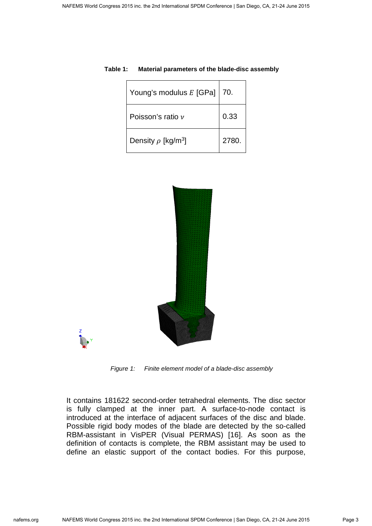| Young's modulus E [GPa]   70.       |       |
|-------------------------------------|-------|
| Poisson's ratio $\nu$               | 0.33  |
| Density $\rho$ [kg/m <sup>3</sup> ] | 2780. |

#### **Table 1: Material parameters of the blade-disc assembly**



Figure 1: Finite element model of a blade-disc assembly

It contains 181622 second-order tetrahedral elements. The disc sector is fully clamped at the inner part. A surface-to-node contact is introduced at the interface of adjacent surfaces of the disc and blade. Possible rigid body modes of the blade are detected by the so-called RBM-assistant in VisPER (Visual PERMAS) [16]. As soon as the definition of contacts is complete, the RBM assistant may be used to define an elastic support of the contact bodies. For this purpose,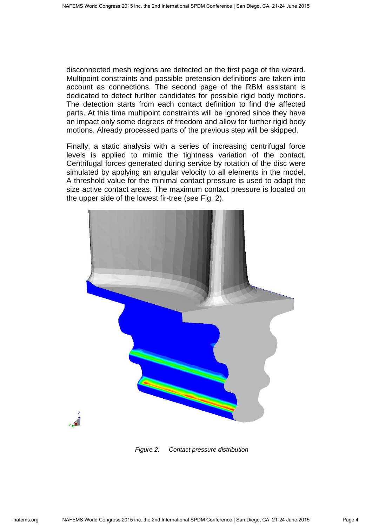disconnected mesh regions are detected on the first page of the wizard. Multipoint constraints and possible pretension definitions are taken into account as connections. The second page of the RBM assistant is dedicated to detect further candidates for possible rigid body motions. The detection starts from each contact definition to find the affected parts. At this time multipoint constraints will be ignored since they have an impact only some degrees of freedom and allow for further rigid body motions. Already processed parts of the previous step will be skipped.

Finally, a static analysis with a series of increasing centrifugal force levels is applied to mimic the tightness variation of the contact. Centrifugal forces generated during service by rotation of the disc were simulated by applying an angular velocity to all elements in the model. A threshold value for the minimal contact pressure is used to adapt the size active contact areas. The maximum contact pressure is located on the upper side of the lowest fir-tree (see Fig. 2).



Figure 2: Contact pressure distribution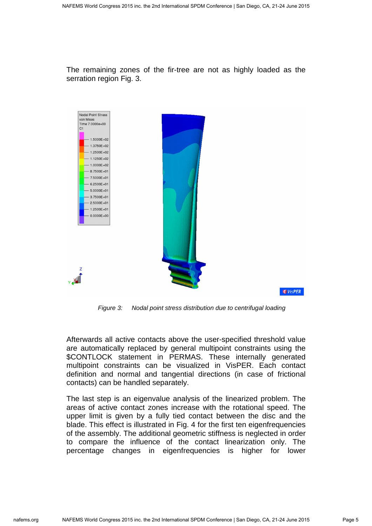The remaining zones of the fir-tree are not as highly loaded as the serration region Fig. 3.



Figure 3: Nodal point stress distribution due to centrifugal loading

Afterwards all active contacts above the user-specified threshold value are automatically replaced by general multipoint constraints using the \$CONTLOCK statement in PERMAS. These internally generated multipoint constraints can be visualized in VisPER. Each contact definition and normal and tangential directions (in case of frictional contacts) can be handled separately.

The last step is an eigenvalue analysis of the linearized problem. The areas of active contact zones increase with the rotational speed. The upper limit is given by a fully tied contact between the disc and the blade. This effect is illustrated in Fig. 4 for the first ten eigenfrequencies of the assembly. The additional geometric stiffness is neglected in order to compare the influence of the contact linearization only. The percentage changes in eigenfrequencies is higher for lower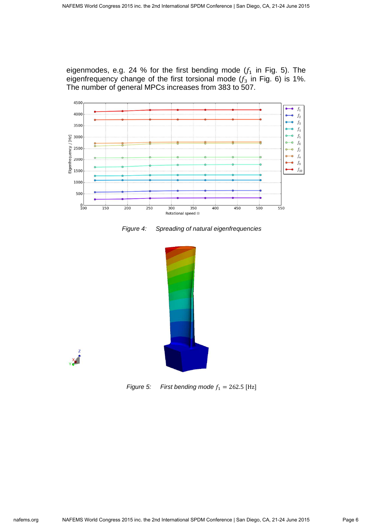eigenmodes, e.g. 24 % for the first bending mode  $(f_1$  in Fig. 5). The eigenfrequency change of the first torsional mode  $(f_3$  in Fig. 6) is 1%. The number of general MPCs increases from 383 to 507.



Figure 4: Spreading of natural eigenfrequencies





Figure 5: First bending mode  $f_1 = 262.5$  [Hz]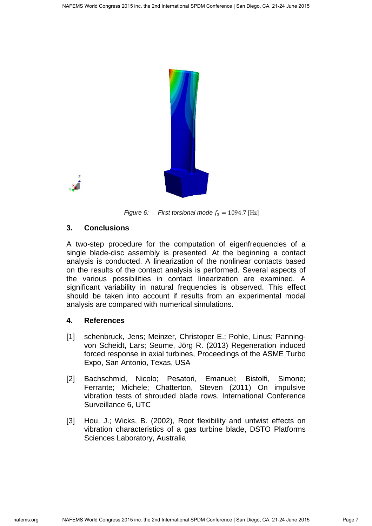



Figure 6: First torsional mode  $f_3 = 1094.7$  [Hz]

# **3. Conclusions**

A two-step procedure for the computation of eigenfrequencies of a single blade-disc assembly is presented. At the beginning a contact analysis is conducted. A linearization of the nonlinear contacts based on the results of the contact analysis is performed. Several aspects of the various possibilities in contact linearization are examined. A significant variability in natural frequencies is observed. This effect should be taken into account if results from an experimental modal analysis are compared with numerical simulations.

# **4. References**

- [1] schenbruck, Jens; Meinzer, Christoper E.; Pohle, Linus; Panningvon Scheidt, Lars; Seume, Jörg R. (2013) Regeneration induced forced response in axial turbines, Proceedings of the ASME Turbo Expo, San Antonio, Texas, USA
- [2] Bachschmid, Nicolo; Pesatori, Emanuel; Bistolfi, Simone; Ferrante; Michele; Chatterton, Steven (2011) On impulsive vibration tests of shrouded blade rows. International Conference Surveillance 6, UTC
- [3] Hou, J.; Wicks, B. (2002), Root flexibility and untwist effects on vibration characteristics of a gas turbine blade, DSTO Platforms Sciences Laboratory, Australia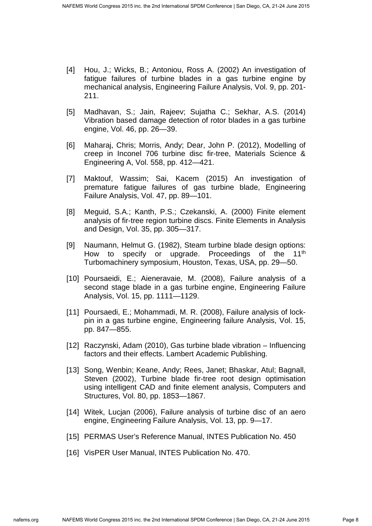- [4] Hou, J.; Wicks, B.; Antoniou, Ross A. (2002) An investigation of fatigue failures of turbine blades in a gas turbine engine by mechanical analysis, Engineering Failure Analysis, Vol. 9, pp. 201- 211.
- [5] Madhavan, S.; Jain, Rajeev; Sujatha C.; Sekhar, A.S. (2014) Vibration based damage detection of rotor blades in a gas turbine engine, Vol. 46, pp. 26—39.
- [6] Maharaj, Chris; Morris, Andy; Dear, John P. (2012), Modelling of creep in Inconel 706 turbine disc fir-tree, Materials Science & Engineering A, Vol. 558, pp. 412—421.
- [7] Maktouf, Wassim; Sai, Kacem (2015) An investigation of premature fatigue failures of gas turbine blade, Engineering Failure Analysis, Vol. 47, pp. 89—101.
- [8] Meguid, S.A.; Kanth, P.S.; Czekanski, A. (2000) Finite element analysis of fir-tree region turbine discs. Finite Elements in Analysis and Design, Vol. 35, pp. 305—317.
- [9] Naumann, Helmut G. (1982), Steam turbine blade design options: How to specify or upgrade. Proceedings of the 11<sup>th</sup> Turbomachinery symposium, Houston, Texas, USA, pp. 29—50.
- [10] Poursaeidi, E.; Aieneravaie, M. (2008), Failure analysis of a second stage blade in a gas turbine engine, Engineering Failure Analysis, Vol. 15, pp. 1111—1129.
- [11] Poursaedi, E.; Mohammadi, M. R. (2008), Failure analysis of lockpin in a gas turbine engine, Engineering failure Analysis, Vol. 15, pp. 847—855.
- [12] Raczynski, Adam (2010), Gas turbine blade vibration Influencing factors and their effects. Lambert Academic Publishing.
- [13] Song, Wenbin; Keane, Andy; Rees, Janet; Bhaskar, Atul; Bagnall, Steven (2002), Turbine blade fir-tree root design optimisation using intelligent CAD and finite element analysis, Computers and Structures, Vol. 80, pp. 1853—1867.
- [14] Witek, Lucjan (2006), Failure analysis of turbine disc of an aero engine, Engineering Failure Analysis, Vol. 13, pp. 9—17.
- [15] PERMAS User's Reference Manual, INTES Publication No. 450
- [16] VisPER User Manual, INTES Publication No. 470.